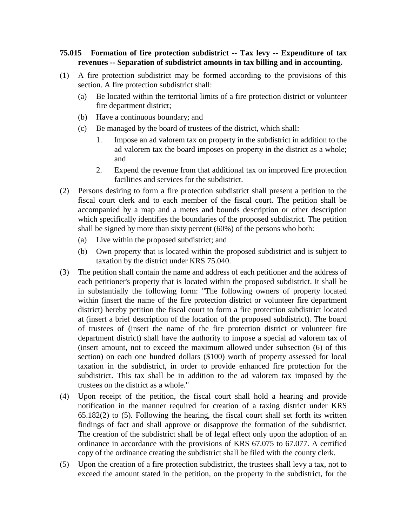## **75.015 Formation of fire protection subdistrict -- Tax levy -- Expenditure of tax revenues -- Separation of subdistrict amounts in tax billing and in accounting.**

- (1) A fire protection subdistrict may be formed according to the provisions of this section. A fire protection subdistrict shall:
	- (a) Be located within the territorial limits of a fire protection district or volunteer fire department district;
	- (b) Have a continuous boundary; and
	- (c) Be managed by the board of trustees of the district, which shall:
		- 1. Impose an ad valorem tax on property in the subdistrict in addition to the ad valorem tax the board imposes on property in the district as a whole; and
		- 2. Expend the revenue from that additional tax on improved fire protection facilities and services for the subdistrict.
- (2) Persons desiring to form a fire protection subdistrict shall present a petition to the fiscal court clerk and to each member of the fiscal court. The petition shall be accompanied by a map and a metes and bounds description or other description which specifically identifies the boundaries of the proposed subdistrict. The petition shall be signed by more than sixty percent (60%) of the persons who both:
	- (a) Live within the proposed subdistrict; and
	- (b) Own property that is located within the proposed subdistrict and is subject to taxation by the district under KRS 75.040.
- (3) The petition shall contain the name and address of each petitioner and the address of each petitioner's property that is located within the proposed subdistrict. It shall be in substantially the following form: "The following owners of property located within (insert the name of the fire protection district or volunteer fire department district) hereby petition the fiscal court to form a fire protection subdistrict located at (insert a brief description of the location of the proposed subdistrict). The board of trustees of (insert the name of the fire protection district or volunteer fire department district) shall have the authority to impose a special ad valorem tax of (insert amount, not to exceed the maximum allowed under subsection (6) of this section) on each one hundred dollars (\$100) worth of property assessed for local taxation in the subdistrict, in order to provide enhanced fire protection for the subdistrict. This tax shall be in addition to the ad valorem tax imposed by the trustees on the district as a whole."
- (4) Upon receipt of the petition, the fiscal court shall hold a hearing and provide notification in the manner required for creation of a taxing district under KRS 65.182(2) to (5). Following the hearing, the fiscal court shall set forth its written findings of fact and shall approve or disapprove the formation of the subdistrict. The creation of the subdistrict shall be of legal effect only upon the adoption of an ordinance in accordance with the provisions of KRS 67.075 to 67.077. A certified copy of the ordinance creating the subdistrict shall be filed with the county clerk.
- (5) Upon the creation of a fire protection subdistrict, the trustees shall levy a tax, not to exceed the amount stated in the petition, on the property in the subdistrict, for the